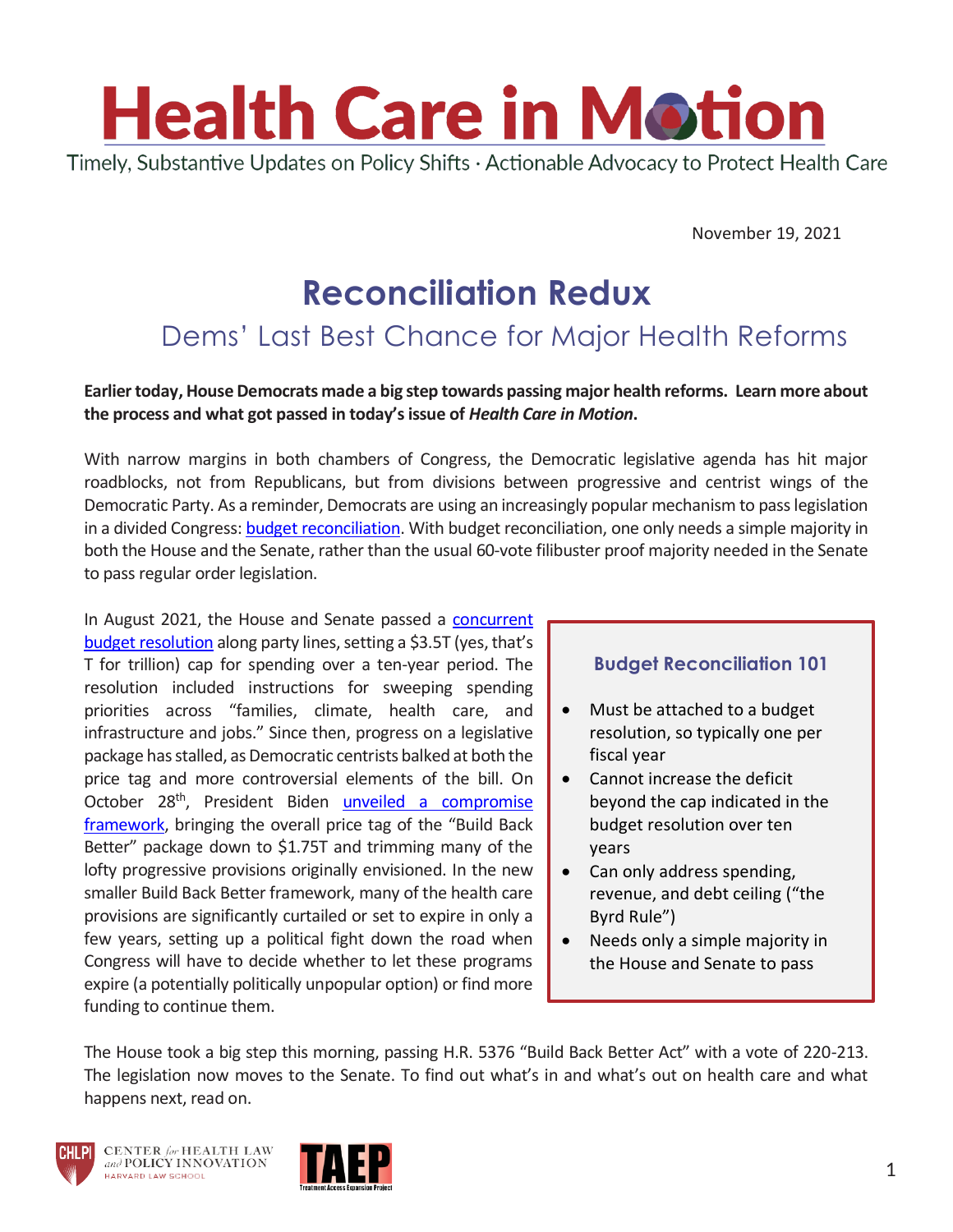

November 19, 2021

# **Reconciliation Redux**

## Dems' Last Best Chance for Major Health Reforms

#### **Earlier today, House Democrats made a big step towards passing major health reforms. Learn more about the process and what got passed in today's issue of** *Health Care in Motion***.**

With narrow margins in both chambers of Congress, the Democratic legislative agenda has hit major roadblocks, not from Republicans, but from divisions between progressive and centrist wings of the Democratic Party. As a reminder, Democrats are using an increasingly popular mechanism to pass legislation in a divided Congress: [budget reconciliation.](https://www.cbpp.org/research/federal-budget/introduction-to-budget-reconciliation) With budget reconciliation, one only needs a simple majority in both the House and the Senate, rather than the usual 60-vote filibuster proof majority needed in the Senate to pass regular order legislation.

In August 2021, the House and Senate passed a [concurrent](https://www.democrats.senate.gov/imo/media/doc/MEMORANDUM%20for%20Democratic%20Senators%20-%20FY2022%20Budget%20Resolution.pdf)  [budget resolution](https://www.democrats.senate.gov/imo/media/doc/MEMORANDUM%20for%20Democratic%20Senators%20-%20FY2022%20Budget%20Resolution.pdf) along party lines, setting a \$3.5T (yes, that's T for trillion) cap for spending over a ten-year period. The resolution included instructions for sweeping spending priorities across "families, climate, health care, and infrastructure and jobs." Since then, progress on a legislative package has stalled, as Democratic centrists balked at both the price tag and more controversial elements of the bill. On October 28<sup>th</sup>, President Biden unveiled a compromise [framework](https://www.whitehouse.gov/briefing-room/statements-releases/2021/10/28/president-biden-announces-the-build-back-better-framework/), bringing the overall price tag of the "Build Back Better" package down to \$1.75T and trimming many of the lofty progressive provisions originally envisioned. In the new smaller Build Back Better framework, many of the health care provisions are significantly curtailed or set to expire in only a few years, setting up a political fight down the road when Congress will have to decide whether to let these programs expire (a potentially politically unpopular option) or find more funding to continue them.

#### **Budget Reconciliation 101**

- Must be attached to a budget resolution, so typically one per fiscal year
- Cannot increase the deficit beyond the cap indicated in the budget resolution over ten years
- Can only address spending, revenue, and debt ceiling ("the Byrd Rule")
- Needs only a simple majority in the House and Senate to pass

The House took a big step this morning, passing H.R. 5376 "Build Back Better Act" with a vote of 220-213. The legislation now moves to the Senate. To find out what's in and what's out on health care and what happens next, read on.



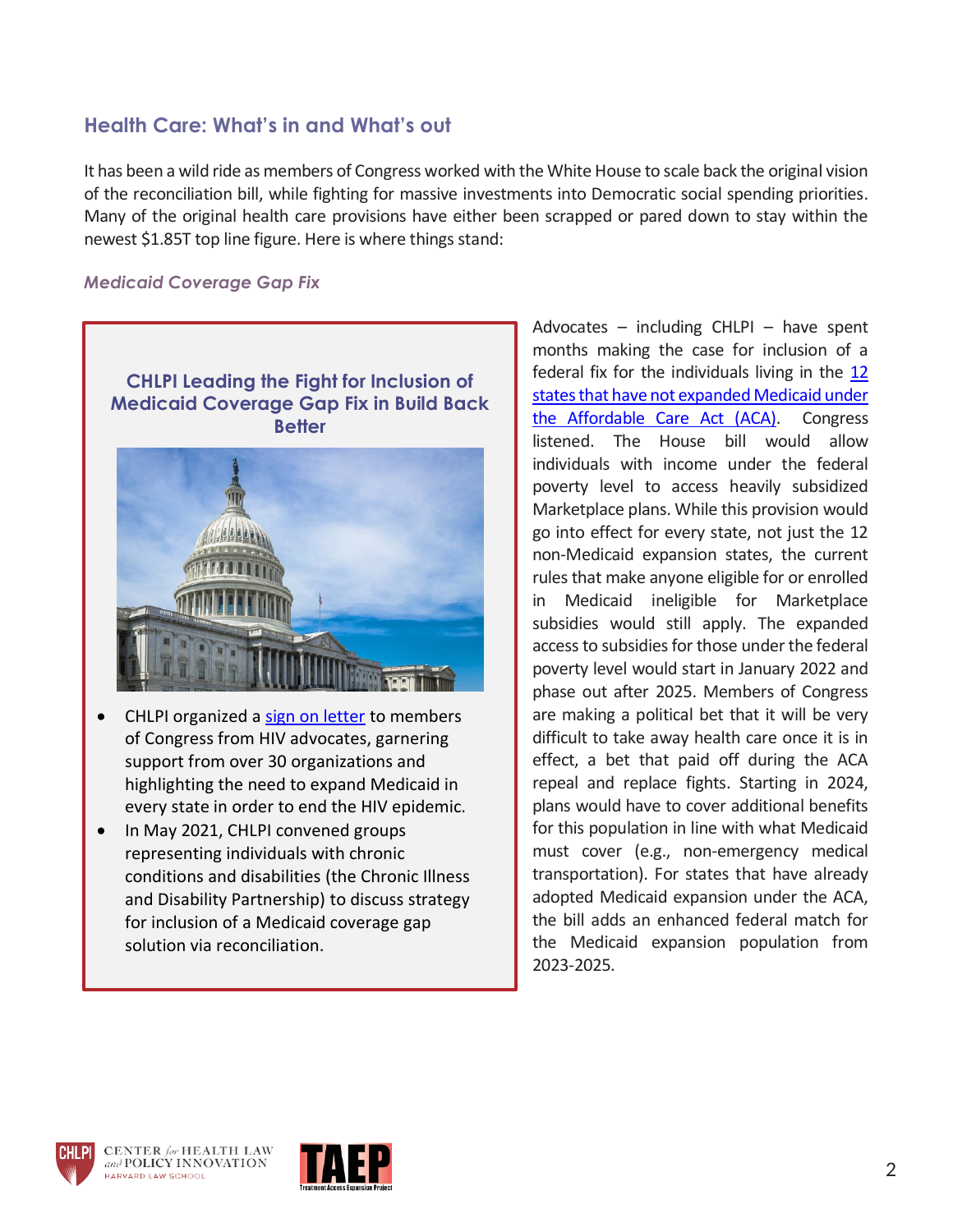### **Health Care: What's in and What's out**

It has been a wild ride as members of Congress worked with the White House to scale back the original vision of the reconciliation bill, while fighting for massive investments into Democratic social spending priorities. Many of the original health care provisions have either been scrapped or pared down to stay within the newest \$1.85T top line figure. Here is where things stand:

#### *Medicaid Coverage Gap Fix*





- CHLPI organized a [sign on letter](https://www.chlpi.org/hiv-providers-and-advocates-call-on-congress-to-address-uninsured-rates-for-those-under-the-federal-poverty-line/) to members of Congress from HIV advocates, garnering support from over 30 organizations and highlighting the need to expand Medicaid in every state in order to end the HIV epidemic.
- In May 2021, CHLPI convened groups representing individuals with chronic conditions and disabilities (the Chronic Illness and Disability Partnership) to discuss strategy for inclusion of a Medicaid coverage gap solution via reconciliation.

Advocates – including CHLPI – have spent months making the case for inclusion of a federal fix for the individuals living in the [12](https://www.chlpi.org/wp-content/uploads/2013/12/Filling-the-Medicaid-Coverage-Gap.pdf)  [states that have not expanded Medicaid under](https://www.chlpi.org/wp-content/uploads/2013/12/Filling-the-Medicaid-Coverage-Gap.pdf)  the [Affordable Care Act \(ACA\).](https://www.chlpi.org/wp-content/uploads/2013/12/Filling-the-Medicaid-Coverage-Gap.pdf) Congress listened. The House bill would allow individuals with income under the federal poverty level to access heavily subsidized Marketplace plans. While this provision would go into effect for every state, not just the 12 non-Medicaid expansion states, the current rules that make anyone eligible for or enrolled in Medicaid ineligible for Marketplace subsidies would still apply. The expanded access to subsidies for those under the federal poverty level would start in January 2022 and phase out after 2025. Members of Congress are making a political bet that it will be very difficult to take away health care once it is in effect, a bet that paid off during the ACA repeal and replace fights. Starting in 2024, plans would have to cover additional benefits for this population in line with what Medicaid must cover (e.g., non-emergency medical transportation). For states that have already adopted Medicaid expansion under the ACA, the bill adds an enhanced federal match for the Medicaid expansion population from 2023-2025.



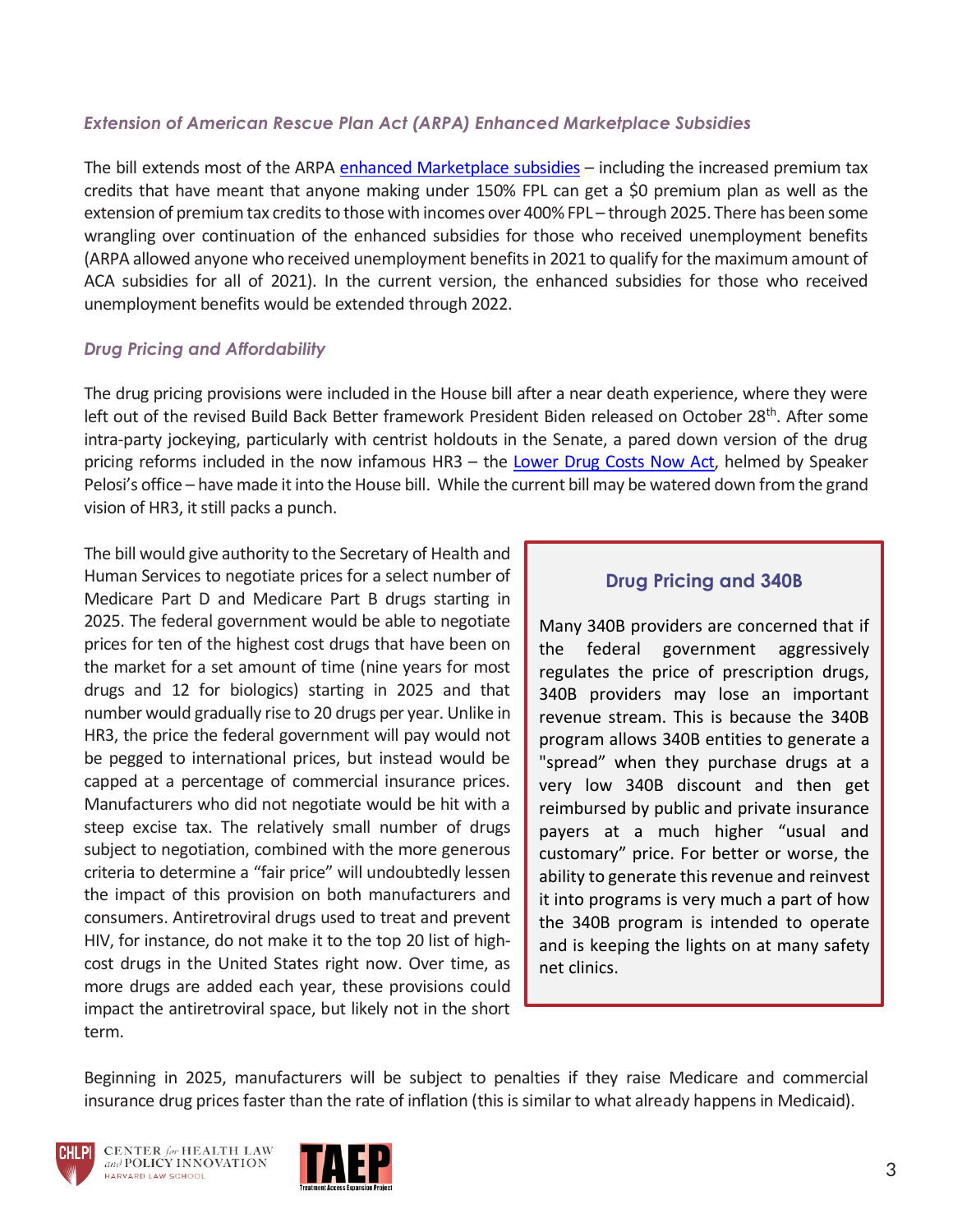#### *Extension of American Rescue Plan Act (ARPA) Enhanced Marketplace Subsidies*

The bill extends most of the ARPA enhanced [Marketplace](https://www.kff.org/health-reform/issue-brief/explaining-health-care-reform-questions-about-health-insurance-subsidies/) subsidies – including the increased premium tax credits that have meant that anyone making under 150% FPL can get a \$0 premium plan as well as the extension of premium tax credits to those with incomes over 400% FPL – through 2025. There has been some wrangling over continuation of the enhanced subsidies for those who received unemployment benefits (ARPA allowed anyone who received unemployment benefits in 2021 to qualify for the maximum amount of ACA subsidies for all of 2021). In the current version, the enhanced subsidies for those who received unemployment benefits would be extended through 2022.

#### *Drug Pricing and Affordability*

The drug pricing provisions were included in the House bill after a near death experience, where they were left out of the revised Build Back Better framework President Biden released on October 28<sup>th</sup>. After some intra-party jockeying, particularly with centrist holdouts in the Senate, a pared down version of the drug pricing reforms included in the now infamous HR3 - the [Lower Drug Costs Now Act,](https://www.speaker.gov/LowerDrugCosts) helmed by Speaker Pelosi's office – have made it into the House bill. While the current bill may be watered down from the grand vision of HR3, it still packs a punch.

The bill would give authority to the Secretary of Health and Human Services to negotiate prices for a select number of Medicare Part D and Medicare Part B drugs starting in 2025. The federal government would be able to negotiate prices for ten of the highest cost drugs that have been on the market for a set amount of time (nine years for most drugs and 12 for biologics) starting in 2025 and that number would gradually rise to 20 drugs per year. Unlike in HR3, the price the federal government will pay would not be pegged to international prices, but instead would be capped at a percentage of commercial insurance prices. Manufacturers who did not negotiate would be hit with a steep excise tax. The relatively small number of drugs subject to negotiation, combined with the more generous criteria to determine a "fair price" will undoubtedly lessen the impact of this provision on both manufacturers and consumers. Antiretroviral drugs used to treat and prevent HIV, for instance, do not make it to the top 20 list of highcost drugs in the United States right now. Over time, as more drugs are added each year, these provisions could impact the antiretroviral space, but likely not in the short term.

#### **Drug Pricing and 340B**

Many 340B providers are concerned that if the federal government aggressively regulates the price of prescription drugs, 340B providers may lose an important revenue stream. This is because the 340B program allows 340B entities to generate a "spread" when they purchase drugs at a very low 340B discount and then get reimbursed by public and private insurance payers at a much higher "usual and customary" price. For better or worse, the ability to generate this revenue and reinvest it into programs is very much a part of how the 340B program is intended to operate and is keeping the lights on at many safety net clinics.

Beginning in 2025, manufacturers will be subject to penalties if they raise Medicare and commercial insurance drug prices faster than the rate of inflation (this is similar to what already happens in Medicaid).



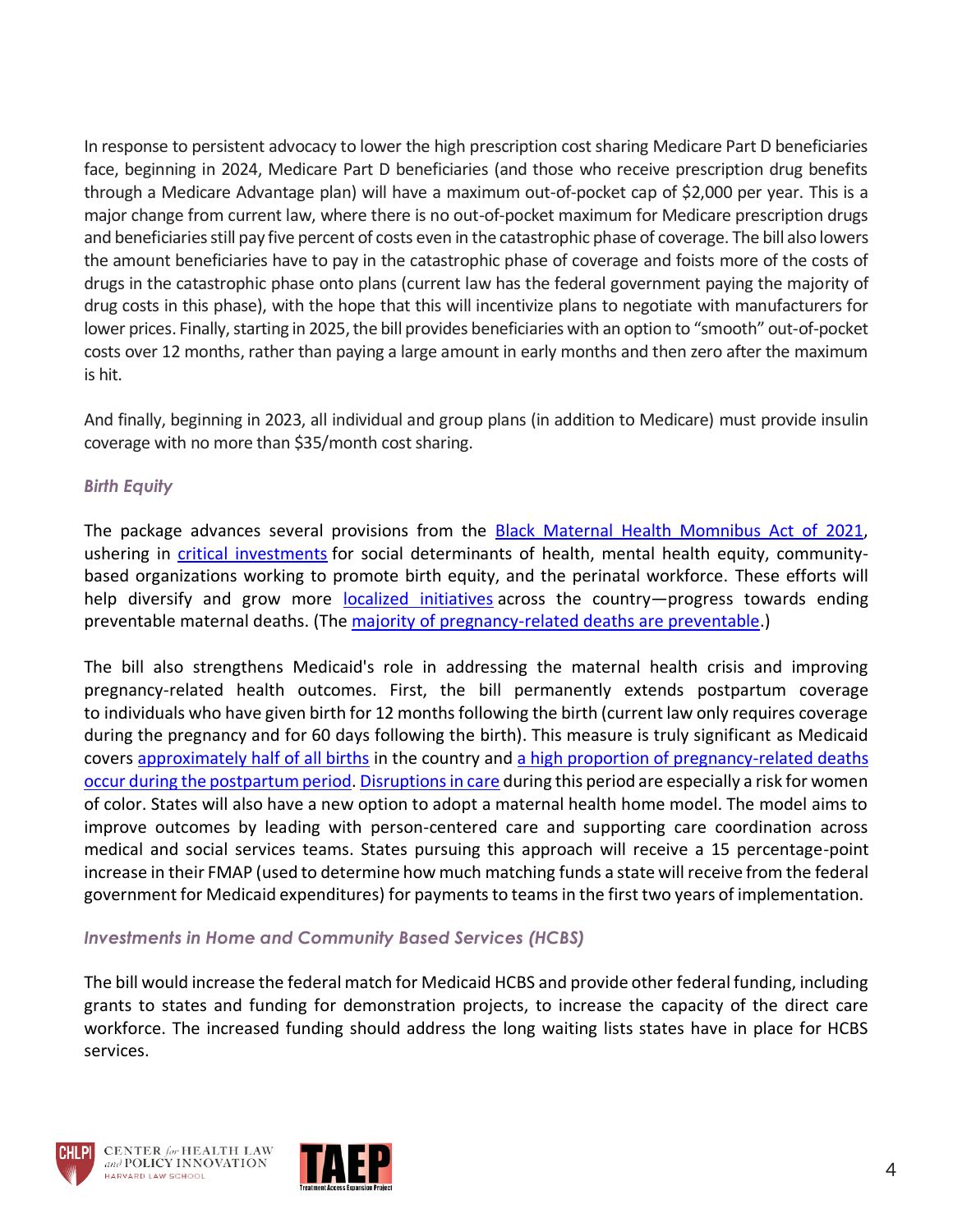In response to persistent advocacy to lower the high prescription cost sharing Medicare Part D beneficiaries face, beginning in 2024, Medicare Part D beneficiaries (and those who receive prescription drug benefits through a Medicare Advantage plan) will have a maximum out-of-pocket cap of \$2,000 per year. This is a major change from current law, where there is no out-of-pocket maximum for Medicare prescription drugs and beneficiaries still pay five percent of costs even in the catastrophic phase of coverage. The bill also lowers the amount beneficiaries have to pay in the catastrophic phase of coverage and foists more of the costs of drugs in the catastrophic phase onto plans (current law has the federal government paying the majority of drug costs in this phase), with the hope that this will incentivize plans to negotiate with manufacturers for lower prices. Finally, starting in 2025, the bill provides beneficiaries with an option to "smooth" out-of-pocket costs over 12 months, rather than paying a large amount in early months and then zero after the maximum is hit.

And finally, beginning in 2023, all individual and group plans (in addition to Medicare) must provide insulin coverage with no more than \$35/month cost sharing.

#### *Birth Equity*

The package advances several provisions from the **Black Maternal Health Momnibus Act of 2021**, ushering in [critical investments](https://msmagazine.com/2021/10/06/black-maternal-health-build-back-better-biden-congress/) for social determinants of health, mental health equity, communitybased organizations working to promote birth equity, and the perinatal workforce. These efforts will help diversify and grow more [localized initiatives](https://www.nytimes.com/interactive/2021/11/17/opinion/maternal-pregnancy-health.html) across the country—progress towards ending preventable maternal deaths. (The [majority of pregnancy-related deaths are preventable.](https://www.cdc.gov/reproductivehealth/maternal-mortality/erase-mm/mmr-data-brief.html))

The bill also strengthens Medicaid's role in addressing the maternal health crisis and improving pregnancy-related health outcomes. First, the bill permanently extends postpartum coverage to individuals who have given birth for 12 months following the birth (current law only requires coverage during the pregnancy and for 60 days following the birth). This measure is truly significant as Medicaid covers [approximately half of all births](https://www.cdc.gov/nchs/data/databriefs/db387-H.pdf) in the country and [a high proportion of pregnancy-related deaths](https://tcf.org/content/report/promoting-better-maternal-health-outcomes-closing-medicaid-postpartum-coverage-gap/)  [occur during the postpartum period. Disruptions in care](https://tcf.org/content/report/promoting-better-maternal-health-outcomes-closing-medicaid-postpartum-coverage-gap/) during this period are especially a risk for women of color. States will also have a new option to adopt a maternal health home model. The model aims to improve outcomes by leading with person-centered care and supporting care coordination across medical and social services teams. States pursuing this approach will receive a 15 percentage-point increase in their FMAP (used to determine how much matching funds a state will receive from the federal government for Medicaid expenditures) for payments to teams in the first two years of implementation.

#### *Investments in Home and Community Based Services (HCBS)*

The bill would increase the federal match for Medicaid HCBS and provide other federal funding, including grants to states and funding for demonstration projects, to increase the capacity of the direct care workforce. The increased funding should address the long waiting lists states have in place for HCBS services.





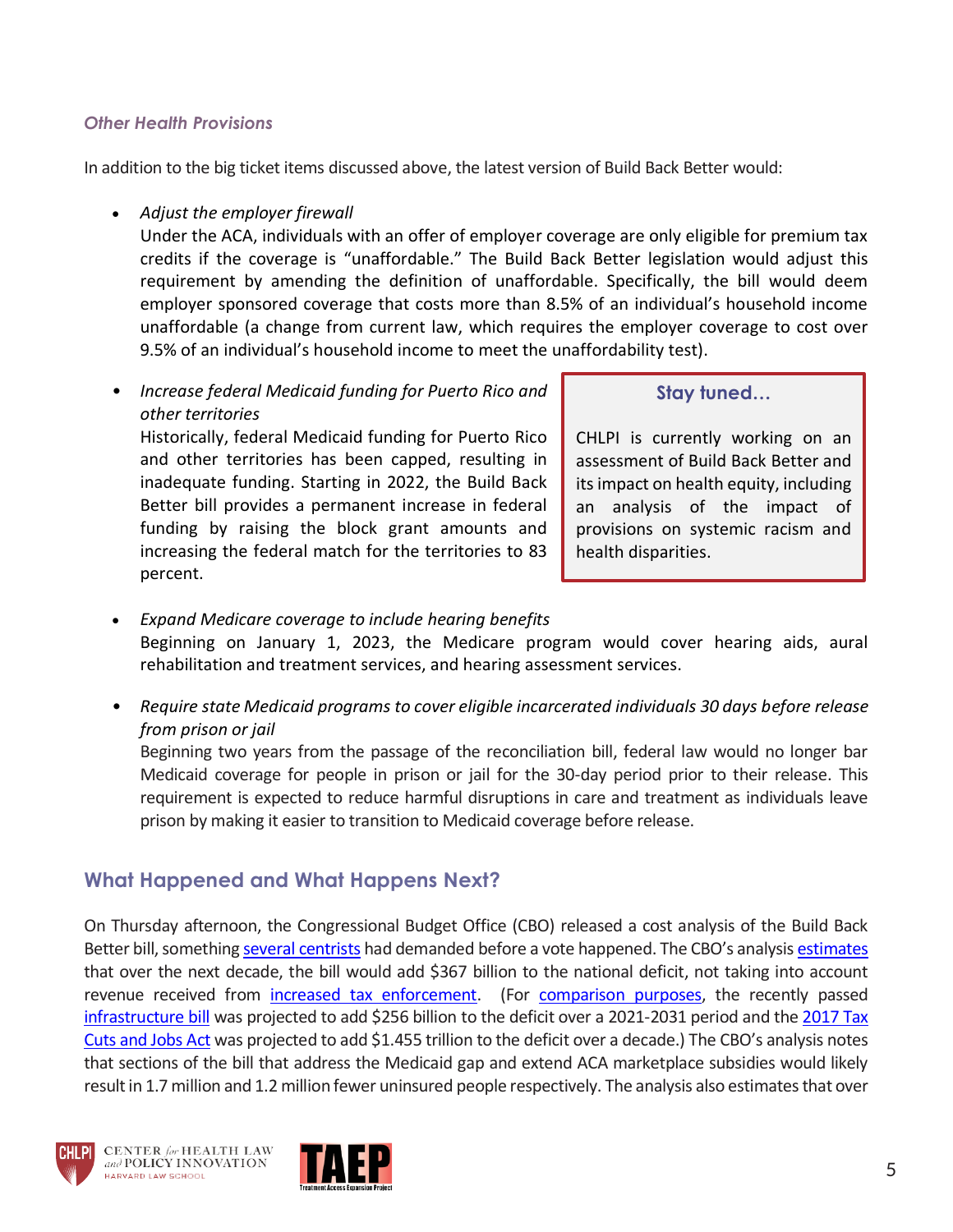#### *Other Health Provisions*

In addition to the big ticket items discussed above, the latest version of Build Back Better would:

• *Adjust the employer firewall*

Under the ACA, individuals with an offer of employer coverage are only eligible for premium tax credits if the coverage is "unaffordable." The Build Back Better legislation would adjust this requirement by amending the definition of unaffordable. Specifically, the bill would deem employer sponsored coverage that costs more than 8.5% of an individual's household income unaffordable (a change from current law, which requires the employer coverage to cost over 9.5% of an individual's household income to meet the unaffordability test).

• *Increase federal Medicaid funding for Puerto Rico and other territories*

Historically, federal Medicaid funding for Puerto Rico and other territories has been capped, resulting in inadequate funding. Starting in 2022, the Build Back Better bill provides a permanent increase in federal funding by raising the block grant amounts and increasing the federal match for the territories to 83 percent.

#### **Stay tuned…**

CHLPI is currently working on an assessment of Build Back Better and its impact on health equity, including an analysis of the impact of provisions on systemic racism and health disparities.

- *Expand Medicare coverage to include hearing benefits* Beginning on January 1, 2023, the Medicare program would cover hearing aids, aural rehabilitation and treatment services, and hearing assessment services.
- *Require state Medicaid programs to cover eligible incarcerated individuals 30 days before release from prison or jail*

Beginning two years from the passage of the reconciliation bill, federal law would no longer bar Medicaid coverage for people in prison or jail for the 30-day period prior to their release. This requirement is expected to reduce harmful disruptions in care and treatment as individuals leave prison by making it easier to transition to Medicaid coverage before release.

### **What Happened and What Happens Next?**

On Thursday afternoon, the Congressional Budget Office (CBO) released a cost analysis of the Build Back Better bill, somethin[g several centrists](http://nbcnews.com/politics/congress/centrist-democrats-now-hold-cards-infrastructure-bill-heads-biden-s-n1283485) had demanded before a vote happened. The CBO's analysis estimates that over the next decade, the bill would add \$367 billion to the national deficit, not taking into account revenue received from [increased tax enforcement.](https://www.cbo.gov/system/files/2021-11/57620-IRS.pdf) (For [comparison purposes,](https://www.cnbc.com/2021/11/18/build-back-better-act-vote-cbo-releases-score-of-biden-plan.html) the recently passed [infrastructure bill](https://www.cbo.gov/publication/57406) was projected to add \$256 billion to the deficit over a 2021-2031 period and the 2017 Tax [Cuts and Jobs Act](https://www.cbo.gov/publication/53415) was projected to add \$1.455 trillion to the deficit over a decade.) The CBO's analysis notes that sections of the bill that address the Medicaid gap and extend ACA marketplace subsidies would likely result in 1.7 million and 1.2 million fewer uninsured people respectively. The analysis also estimates that over